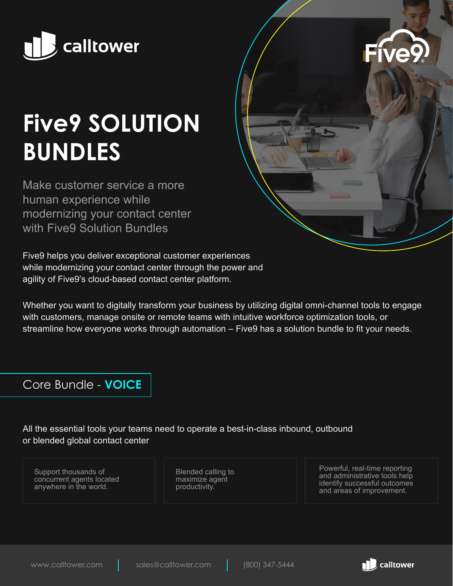

# **Five9 SOLUTION BUNDLES**

Make customer service a more human experience while modernizing your contact center with Five9 Solution Bundles

Five9 helps you deliver exceptional customer experiences while modernizing your contact center through the power and agility of Five9's cloud-based contact center platform.

Whether you want to digitally transform your business by utilizing digital omni-channel tools to engage with customers, manage onsite or remote teams with intuitive workforce optimization tools, or streamline how everyone works through automation – Five9 has a solution bundle to fit your needs.

### Core Bundle - **VOICE**

All the essential tools your teams need to operate a best-in-class inbound, outbound or blended global contact center

Support thousands of concurrent agents located anywhere in the world.

Blended calling to maximize agent productivity.

Powerful, real-time reporting and administrative tools help identify successful outcomes and areas of improvement.



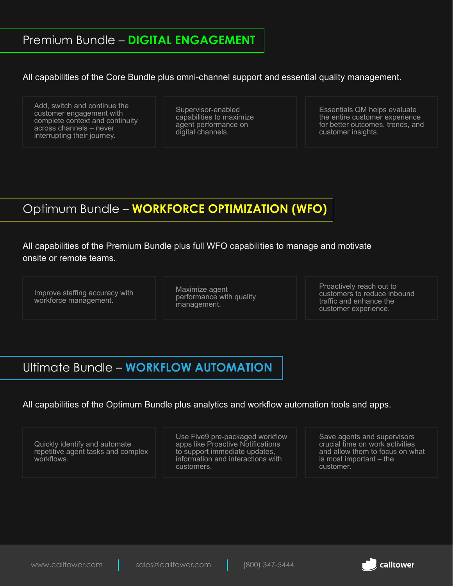All capabilities of the Core Bundle plus omni-channel support and essential quality management.

Add, switch and continue the customer engagement with complete context and continuity across channels – never interrupting their journey.

Supervisor-enabled capabilities to maximize agent performance on digital channels.

Essentials QM helps evaluate the entire customer experience for better outcomes, trends, and customer insights.

### Optimum Bundle – **WORKFORCE OPTIMIZATION (WFO)**

All capabilities of the Premium Bundle plus full WFO capabilities to manage and motivate onsite or remote teams.

Improve staffing accuracy with workforce management.

Maximize agent performance with quality management.

Proactively reach out to customers to reduce inbound traffic and enhance the customer experience.

### Ultimate Bundle – **WORKFLOW AUTOMATION**

All capabilities of the Optimum Bundle plus analytics and workflow automation tools and apps.

Quickly identify and automate repetitive agent tasks and complex workflows.

Use Five9 pre-packaged workflow apps like Proactive Notifications to support immediate updates, information and interactions with customers.

Save agents and supervisors crucial time on work activities and allow them to focus on what is most important – the customer.

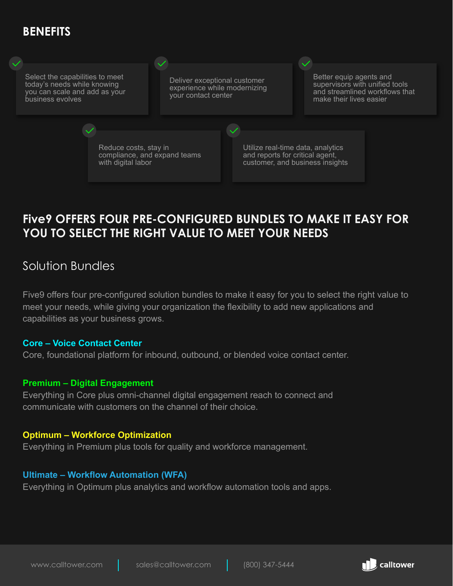## **BENEFITS**



### **Five9 OFFERS FOUR PRE-CONFIGURED BUNDLES TO MAKE IT EASY FOR YOU TO SELECT THE RIGHT VALUE TO MEET YOUR NEEDS**

### Solution Bundles

Five9 offers four pre-configured solution bundles to make it easy for you to select the right value to meet your needs, while giving your organization the flexibility to add new applications and capabilities as your business grows.

#### **Core – Voice Contact Center**

Core, foundational platform for inbound, outbound, or blended voice contact center.

#### **Premium – Digital Engagement**

Everything in Core plus omni-channel digital engagement reach to connect and communicate with customers on the channel of their choice.

#### **Optimum – Workforce Optimization**

Everything in Premium plus tools for quality and workforce management.

#### **Ultimate – Workflow Automation (WFA)**

Everything in Optimum plus analytics and workflow automation tools and apps.

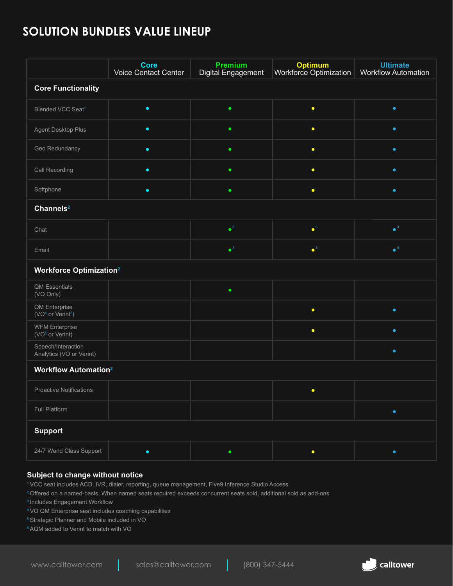### **SOLUTION BUNDLES VALUE LINEUP**

|                                                            | <b>Core</b><br><b>Voice Contact Center</b> | <b>Premium</b><br><b>Digital Engagement</b> | <b>Optimum</b><br>Workforce Optimization | <b>Ultimate</b><br><b>Workflow Automation</b> |
|------------------------------------------------------------|--------------------------------------------|---------------------------------------------|------------------------------------------|-----------------------------------------------|
| <b>Core Functionality</b>                                  |                                            |                                             |                                          |                                               |
| Blended VCC Seat <sup>1</sup>                              | $\bullet$                                  | $\bullet$                                   | $\bullet$                                | $\bullet$                                     |
| Agent Desktop Plus                                         | $\bullet$                                  | ٠                                           | $\bullet$                                | $\bullet$                                     |
| Geo Redundancy                                             | $\bullet$                                  | $\bullet$                                   | $\bullet$                                | $\bullet$                                     |
| Call Recording                                             | $\bullet$                                  | $\bullet$                                   | $\bullet$                                | $\bullet$                                     |
| Softphone                                                  | $\bullet$                                  | ٠                                           | $\bullet$                                | $\bullet$                                     |
| Channels <sup>2</sup>                                      |                                            |                                             |                                          |                                               |
| Chat                                                       |                                            | $\bullet^3$                                 | $\bullet^3$                              | $\bullet$ <sup>3</sup>                        |
| Email                                                      |                                            | $\bullet^3$                                 | $\bullet^3$                              | $\bullet$ <sup>3</sup>                        |
| <b>Workforce Optimization<sup>2</sup></b>                  |                                            |                                             |                                          |                                               |
| QM Essentials<br>(VO Only)                                 |                                            | $\bullet$                                   |                                          |                                               |
|                                                            |                                            |                                             |                                          |                                               |
| QM Enterprise<br>(VO <sup>4</sup> or Verint <sup>6</sup> ) |                                            |                                             | $\bullet$                                | $\bullet$                                     |
| <b>WFM Enterprise</b><br>(VO <sup>5</sup> or Verint)       |                                            |                                             | $\bullet$                                | $\bullet$                                     |
| Speech/Interaction<br>Analytics (VO or Verint)             |                                            |                                             |                                          | $\bullet$                                     |
| <b>Workflow Automation<sup>2</sup></b>                     |                                            |                                             |                                          |                                               |
| <b>Proactive Notifications</b>                             |                                            |                                             |                                          |                                               |
| Full Platform                                              |                                            |                                             |                                          | $\bullet$                                     |
| <b>Support</b>                                             |                                            |                                             |                                          |                                               |

#### **Subject to change without notice**

1VCC seat includes ACD, IVR, dialer, reporting, queue management, Five9 Inference Studio Access

<sup>2</sup> Offered on a named-basis. When named seats required exceeds concurrent seats sold, additional sold as add-ons

<sup>3</sup> Includes Engagement Workflow

4 VO QM Enterprise seat includes coaching capabilities

5Strategic Planner and Mobile included in VO

6AQM added to Verint to match with VO